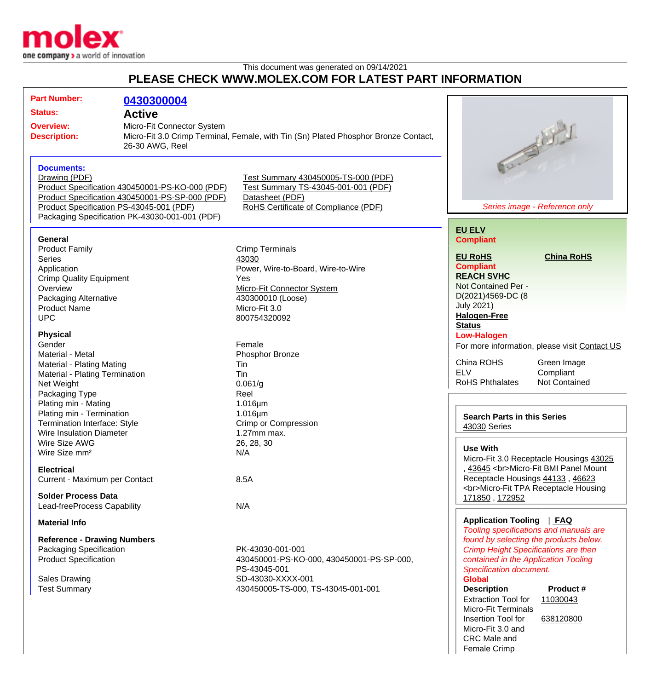

This document was generated on 09/14/2021

## **PLEASE CHECK WWW.MOLEX.COM FOR LATEST PART INFORMATION**

| <b>Part Number:</b><br><b>Status:</b><br><b>Overview:</b><br><b>Description:</b>                                                                    |                                                                                                                                                                                                                                                                                                                                                                                                                                                                                                                                                                                                                                                             | 0430300004<br><b>Active</b><br>Micro-Fit Connector System<br>Micro-Fit 3.0 Crimp Terminal, Female, with Tin (Sn) Plated Phosphor Bronze Contact,<br>26-30 AWG, Reel |                                                                                                                                                                                                                                                                                                                                             |                                                                                                                                                                                                                                                                                                                                                                                                           | Article of Allied                                                                                                                                                                                                                                                                     |
|-----------------------------------------------------------------------------------------------------------------------------------------------------|-------------------------------------------------------------------------------------------------------------------------------------------------------------------------------------------------------------------------------------------------------------------------------------------------------------------------------------------------------------------------------------------------------------------------------------------------------------------------------------------------------------------------------------------------------------------------------------------------------------------------------------------------------------|---------------------------------------------------------------------------------------------------------------------------------------------------------------------|---------------------------------------------------------------------------------------------------------------------------------------------------------------------------------------------------------------------------------------------------------------------------------------------------------------------------------------------|-----------------------------------------------------------------------------------------------------------------------------------------------------------------------------------------------------------------------------------------------------------------------------------------------------------------------------------------------------------------------------------------------------------|---------------------------------------------------------------------------------------------------------------------------------------------------------------------------------------------------------------------------------------------------------------------------------------|
|                                                                                                                                                     | <b>Documents:</b><br>Drawing (PDF)<br>Product Specification PS-43045-001 (PDF)                                                                                                                                                                                                                                                                                                                                                                                                                                                                                                                                                                              | Product Specification 430450001-PS-KO-000 (PDF)<br>Product Specification 430450001-PS-SP-000 (PDF)<br>Packaging Specification PK-43030-001-001 (PDF)                | Test Summary 430450005-TS-000 (PDF)<br>Test Summary TS-43045-001-001 (PDF)<br>Datasheet (PDF)<br>RoHS Certificate of Compliance (PDF)                                                                                                                                                                                                       |                                                                                                                                                                                                                                                                                                                                                                                                           | Series image - Reference only                                                                                                                                                                                                                                                         |
|                                                                                                                                                     | <b>General</b><br><b>Product Family</b><br><b>Series</b><br>Application<br><b>Crimp Quality Equipment</b><br>Overview<br><b>Packaging Alternative</b><br><b>Product Name</b><br><b>UPC</b><br><b>Physical</b><br>Gender<br>Material - Metal<br>Material - Plating Mating<br>Material - Plating Termination<br>Net Weight<br>Packaging Type<br>Plating min - Mating<br>Plating min - Termination<br>Termination Interface: Style<br><b>Wire Insulation Diameter</b><br>Wire Size AWG<br>Wire Size mm <sup>2</sup><br><b>Electrical</b><br>Current - Maximum per Contact<br><b>Solder Process Data</b><br>Lead-freeProcess Capability<br><b>Material Info</b> |                                                                                                                                                                     | <b>Crimp Terminals</b><br>43030<br>Power, Wire-to-Board, Wire-to-Wire<br>Yes<br>Micro-Fit Connector System<br>430300010 (Loose)<br>Micro-Fit 3.0<br>800754320092<br>Female<br>Phosphor Bronze<br>Tin<br>Tin<br>0.061/g<br>Reel<br>$1.016 \mu m$<br>$1.016 \mu m$<br>Crimp or Compression<br>1.27mm max.<br>26, 28, 30<br>N/A<br>8.5A<br>N/A | <b>EU ELV</b><br><b>Compliant</b><br><b>EU RoHS</b><br><b>Compliant</b><br><b>REACH SVHC</b><br>Not Contained Per -<br>D(2021)4569-DC (8<br><b>July 2021)</b><br><b>Halogen-Free</b><br><b>Status</b><br><b>Low-Halogen</b><br>China ROHS<br><b>ELV</b><br><b>RoHS Phthalates</b><br><b>Search Parts in this Series</b><br>43030 Series<br><b>Use With</b><br>171850, 172952<br>Application Tooling   FAQ | <b>China RoHS</b><br>For more information, please visit Contact US<br>Green Image<br>Compliant<br><b>Not Contained</b><br>Micro-Fit 3.0 Receptacle Housings 43025<br>, 43645<br>Micro-Fit BMI Panel Mount<br>Receptacle Housings 44133, 46623<br><br>Micro-Fit TPA Receptacle Housing |
| <b>Reference - Drawing Numbers</b><br><b>Packaging Specification</b><br><b>Product Specification</b><br><b>Sales Drawing</b><br><b>Test Summary</b> |                                                                                                                                                                                                                                                                                                                                                                                                                                                                                                                                                                                                                                                             |                                                                                                                                                                     | PK-43030-001-001<br>430450001-PS-KO-000, 430450001-PS-SP-000,<br>PS-43045-001<br>SD-43030-XXXX-001<br>430450005-TS-000, TS-43045-001-001                                                                                                                                                                                                    | Tooling specifications and manuals are<br>found by selecting the products below.<br><b>Crimp Height Specifications are then</b><br>contained in the Application Tooling<br><b>Specification document.</b><br><b>Global</b><br><b>Description</b><br>Product #<br><b>Extraction Tool for</b><br>11030043<br><b>Micro-Fit Terminals</b><br>Insertion Tool for<br>638120800                                  |                                                                                                                                                                                                                                                                                       |

Micro-Fit 3.0 and CRC Male and Female Crimp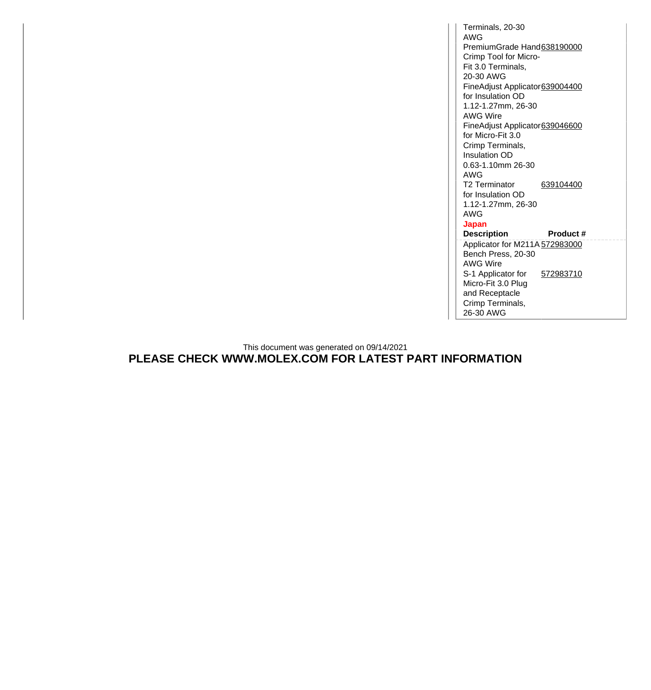Terminals, 20-30 AWG PremiumGrade Hand[638190000](http://www.molex.com/molex/products/datasheet.jsp?part=active/0638190000_APPLICATION_TOOLIN.xml) Crimp Tool for Micro-Fit 3.0 Terminals, 20-30 AWG FineAdjust Applicator [639004400](http://www.molex.com/molex/products/datasheet.jsp?part=active/0639004400_APPLICATION_TOOLIN.xml) for Insulation OD 1.12-1.27mm, 26-30 AWG Wire FineAdjust Applicator [639046600](http://www.molex.com/molex/products/datasheet.jsp?part=active/0639046600_APPLICATION_TOOLIN.xml) for Micro-Fit 3.0 Crimp Terminals, Insulation OD 0.63-1.10mm 26-30 AWG T2 Terminator for Insulation OD 1.12-1.27mm, 26-30 AWG [639104400](http://www.molex.com/molex/products/datasheet.jsp?part=active/0639104400_APPLICATION_TOOLIN.xml) **Japan Description Product #** Applicator for M211A [572983000](http://www.molex.com/molex/products/datasheet.jsp?part=active/0572983000_APPLICATION_TOOLIN.xml) Bench Press, 20-30 AWG Wire S-1 Applicator for Micro-Fit 3.0 Plug and Receptacle Crimp Terminals, 26-30 AWG [572983710](http://www.molex.com/molex/products/datasheet.jsp?part=active/0572983710_APPLICATION_TOOLIN.xml)

This document was generated on 09/14/2021 **PLEASE CHECK WWW.MOLEX.COM FOR LATEST PART INFORMATION**